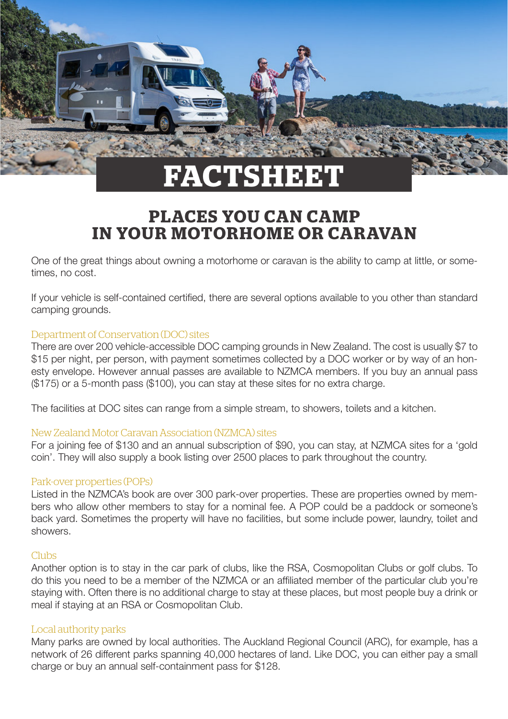

# **PLACES YOU CAN CAMP IN YOUR MOTORHOME OR CARAVAN**

One of the great things about owning a motorhome or caravan is the ability to camp at little, or sometimes, no cost.

If your vehicle is self-contained certified, there are several options available to you other than standard camping grounds.

### Department of Conservation (DOC) sites

There are over 200 vehicle-accessible DOC camping grounds in New Zealand. The cost is usually \$7 to \$15 per night, per person, with payment sometimes collected by a DOC worker or by way of an honesty envelope. However annual passes are available to NZMCA members. If you buy an annual pass (\$175) or a 5-month pass (\$100), you can stay at these sites for no extra charge.

The facilities at DOC sites can range from a simple stream, to showers, toilets and a kitchen.

## New Zealand Motor Caravan Association (NZMCA) sites

For a joining fee of \$130 and an annual subscription of \$90, you can stay, at NZMCA sites for a 'gold coin'. They will also supply a book listing over 2500 places to park throughout the country.

#### Park-over properties (POPs)

Listed in the NZMCA's book are over 300 park-over properties. These are properties owned by members who allow other members to stay for a nominal fee. A POP could be a paddock or someone's back yard. Sometimes the property will have no facilities, but some include power, laundry, toilet and showers.

#### Clubs

Another option is to stay in the car park of clubs, like the RSA, Cosmopolitan Clubs or golf clubs. To do this you need to be a member of the NZMCA or an affiliated member of the particular club you're staying with. Often there is no additional charge to stay at these places, but most people buy a drink or meal if staying at an RSA or Cosmopolitan Club.

#### Local authority parks

Many parks are owned by local authorities. The Auckland Regional Council (ARC), for example, has a network of 26 different parks spanning 40,000 hectares of land. Like DOC, you can either pay a small charge or buy an annual self-containment pass for \$128.